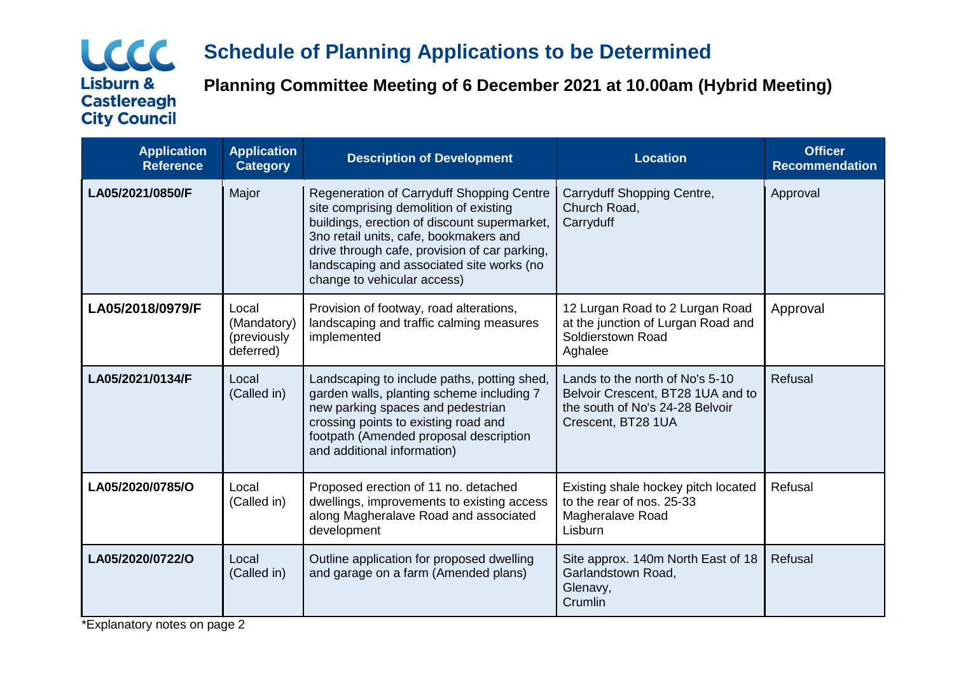# LCCC **Lisburn & Castlereagh City Council**

# **Schedule of Planning Applications to be Determined**

**Planning Committee Meeting of 6 December 2021 at 10.00am (Hybrid Meeting)**

| <b>Application</b><br><b>Reference</b> | <b>Application</b><br><b>Category</b>            | <b>Description of Development</b>                                                                                                                                                                                                                                                                          | <b>Location</b>                                                                                                               | <b>Officer</b><br><b>Recommendation</b> |
|----------------------------------------|--------------------------------------------------|------------------------------------------------------------------------------------------------------------------------------------------------------------------------------------------------------------------------------------------------------------------------------------------------------------|-------------------------------------------------------------------------------------------------------------------------------|-----------------------------------------|
| LA05/2021/0850/F                       | Major                                            | Regeneration of Carryduff Shopping Centre<br>site comprising demolition of existing<br>buildings, erection of discount supermarket,<br>3no retail units, cafe, bookmakers and<br>drive through cafe, provision of car parking,<br>landscaping and associated site works (no<br>change to vehicular access) | Carryduff Shopping Centre,<br>Church Road,<br>Carryduff                                                                       | Approval                                |
| LA05/2018/0979/F                       | Local<br>(Mandatory)<br>(previously<br>deferred) | Provision of footway, road alterations,<br>landscaping and traffic calming measures<br>implemented                                                                                                                                                                                                         | 12 Lurgan Road to 2 Lurgan Road<br>at the junction of Lurgan Road and<br>Soldierstown Road<br>Aghalee                         | Approval                                |
| LA05/2021/0134/F                       | Local<br>(Called in)                             | Landscaping to include paths, potting shed,<br>garden walls, planting scheme including 7<br>new parking spaces and pedestrian<br>crossing points to existing road and<br>footpath (Amended proposal description<br>and additional information)                                                             | Lands to the north of No's 5-10<br>Belvoir Crescent, BT28 1UA and to<br>the south of No's 24-28 Belvoir<br>Crescent, BT28 1UA | Refusal                                 |
| LA05/2020/0785/O                       | Local<br>(Called in)                             | Proposed erection of 11 no. detached<br>dwellings, improvements to existing access<br>along Magheralave Road and associated<br>development                                                                                                                                                                 | Existing shale hockey pitch located<br>to the rear of nos. 25-33<br>Magheralave Road<br>Lisburn                               | Refusal                                 |
| LA05/2020/0722/O                       | Local<br>(Called in)                             | Outline application for proposed dwelling<br>and garage on a farm (Amended plans)                                                                                                                                                                                                                          | Site approx. 140m North East of 18<br>Garlandstown Road,<br>Glenavy,<br>Crumlin                                               | Refusal                                 |

\*Explanatory notes on page 2